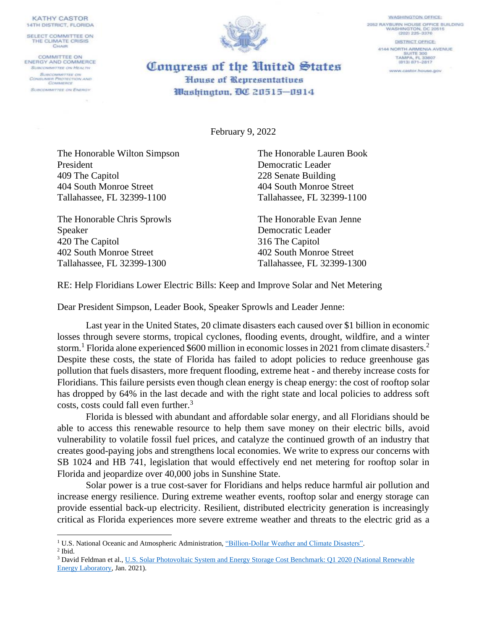**KATHY CASTOR 14TH DISTRICT, FLORIDA** 

SELECT COMMITTEE ON THE CLIMATE CRISIS CHAIR

**COMMITTEE ON ENERGY AND COMMERCE** SUBCOMMITTEE ON HEALTH **SUBCOMMATTEE ON** CONSUMER PROTECTION AND **SUBCOMMITTEE ON ENERGY** 



DISTRICT OFFICE: 4144 NORTH ARMENIA AVENUE SUITE 300 TAMPA, FL 33607<br>(813) 871-2817 Congress of the United States www.castor.house.gov House of Representatives

**WASHINGTON OFFICE:** 

2052 RAYBURN HOUSE OFFICE BUILDING<br>WASHINGTON, DC 20515<br>(202) 225-3376

February 9, 2022

Washington, DC 20515-0914

The Honorable Wilton Simpson The Honorable Lauren Book President Democratic Leader 409 The Capitol 228 Senate Building 404 South Monroe Street 404 South Monroe Street Tallahassee, FL 32399-1100 Tallahassee, FL 32399-1100

The Honorable Chris Sprowls The Honorable Evan Jenne Speaker Democratic Leader 420 The Capitol 316 The Capitol 402 South Monroe Street 402 South Monroe Street Tallahassee, FL 32399-1300 Tallahassee, FL 32399-1300

RE: Help Floridians Lower Electric Bills: Keep and Improve Solar and Net Metering

Dear President Simpson, Leader Book, Speaker Sprowls and Leader Jenne:

Last year in the United States, 20 climate disasters each caused over \$1 billion in economic losses through severe storms, tropical cyclones, flooding events, drought, wildfire, and a winter storm.<sup>1</sup> Florida alone experienced \$600 million in economic losses in 2021 from climate disasters.<sup>2</sup> Despite these costs, the state of Florida has failed to adopt policies to reduce greenhouse gas pollution that fuels disasters, more frequent flooding, extreme heat - and thereby increase costs for Floridians. This failure persists even though clean energy is cheap energy: the cost of rooftop solar has dropped by 64% in the last decade and with the right state and local policies to address soft costs, costs could fall even further. 3

Florida is blessed with abundant and affordable solar energy, and all Floridians should be able to access this renewable resource to help them save money on their electric bills, avoid vulnerability to volatile fossil fuel prices, and catalyze the continued growth of an industry that creates good-paying jobs and strengthens local economies. We write to express our concerns with SB 1024 and HB 741, legislation that would effectively end net metering for rooftop solar in Florida and jeopardize over 40,000 jobs in Sunshine State.

Solar power is a true cost-saver for Floridians and helps reduce harmful air pollution and increase energy resilience. During extreme weather events, rooftop solar and energy storage can provide essential back-up electricity. Resilient, distributed electricity generation is increasingly critical as Florida experiences more severe extreme weather and threats to the electric grid as a

<sup>&</sup>lt;sup>1</sup> U.S. National Oceanic and Atmospheric Administration, "Billion-Dollar Weather and Climate Disasters".

<sup>2</sup> Ibid.

<sup>3</sup> David Feldman et al.[, U.S. Solar Photovoltaic System and Energy Storage Cost Benchmark: Q1 2020 \(National Renewable](https://www.nrel.gov/docs/fy21osti/77324.pdf)  [Energy Laboratory,](https://www.nrel.gov/docs/fy21osti/77324.pdf) Jan. 2021).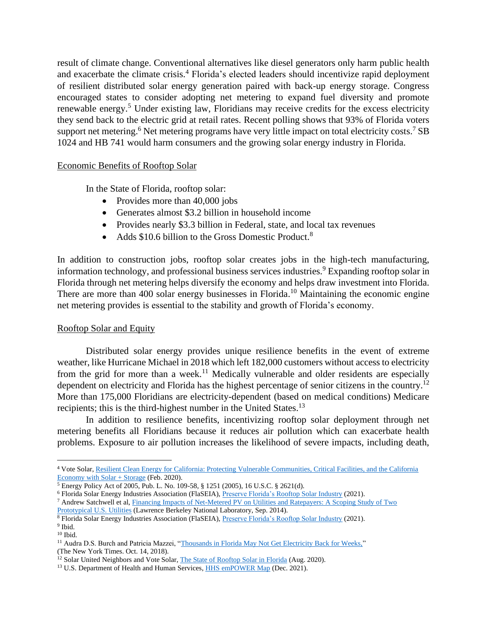result of climate change. Conventional alternatives like diesel generators only harm public health and exacerbate the climate crisis.<sup>4</sup> Florida's elected leaders should incentivize rapid deployment of resilient distributed solar energy generation paired with back-up energy storage. Congress encouraged states to consider adopting net metering to expand fuel diversity and promote renewable energy.<sup>5</sup> Under existing law, Floridians may receive credits for the excess electricity they send back to the electric grid at retail rates. Recent polling shows that 93% of Florida voters support net metering.<sup>6</sup> Net metering programs have very little impact on total electricity costs.<sup>7</sup> SB 1024 and HB 741 would harm consumers and the growing solar energy industry in Florida.

## Economic Benefits of Rooftop Solar

In the State of Florida, rooftop solar:

- Provides more than 40,000 jobs
- Generates almost \$3.2 billion in household income
- Provides nearly \$3.3 billion in Federal, state, and local tax revenues
- Adds \$10.6 billion to the Gross Domestic Product.<sup>8</sup>

In addition to construction jobs, rooftop solar creates jobs in the high-tech manufacturing, information technology, and professional business services industries.<sup>9</sup> Expanding rooftop solar in Florida through net metering helps diversify the economy and helps draw investment into Florida. There are more than 400 solar energy businesses in Florida.<sup>10</sup> Maintaining the economic engine net metering provides is essential to the stability and growth of Florida's economy.

## Rooftop Solar and Equity

Distributed solar energy provides unique resilience benefits in the event of extreme weather, like Hurricane Michael in 2018 which left 182,000 customers without access to electricity from the grid for more than a week.<sup>11</sup> Medically vulnerable and older residents are especially dependent on electricity and Florida has the highest percentage of senior citizens in the country.<sup>12</sup> More than 175,000 Floridians are electricity-dependent (based on medical conditions) Medicare recipients; this is the third-highest number in the United States.<sup>13</sup>

In addition to resilience benefits, incentivizing rooftop solar deployment through net metering benefits all Floridians because it reduces air pollution which can exacerbate health problems. Exposure to air pollution increases the likelihood of severe impacts, including death,

<sup>4</sup> Vote Solar[, Resilient Clean Energy for California: Protecting Vulnerable Communities, Critical Facilities, and the California](https://votesolar.org/wp-content/uploads/2021/01/Resilient_Clean_Energy_for_California-REPORT.pdf)  [Economy with Solar + Storage](https://votesolar.org/wp-content/uploads/2021/01/Resilient_Clean_Energy_for_California-REPORT.pdf) (Feb. 2020).

<sup>5</sup> Energy Policy Act of 2005, Pub. L. No. 109-58, § 1251 (2005), 16 U.S.C. § 2621(d).

<sup>6</sup> Florida Solar Energy Industries Association (FlaSEIA)[, Preserve Florida's Rooftop Solar Industry](https://www.flaseia.org/assets/pdf/FlaSEIA+Net+Metering+Handout/) (2021).

<sup>7</sup> Andrew Satchwell et al, [Financing Impacts of Net-Metered PV on Utilities and Ratepayers: A Scoping Study of Two](https://eta-publications.lbl.gov/sites/default/files/lbnl-6913e.pdf)  [Prototypical U.S. Utilities](https://eta-publications.lbl.gov/sites/default/files/lbnl-6913e.pdf) (Lawrence Berkeley National Laboratory, Sep. 2014).

<sup>8</sup> Florida Solar Energy Industries Association (FlaSEIA)[, Preserve Florida's Rooftop Solar Industry](https://www.flaseia.org/assets/pdf/FlaSEIA+Net+Metering+Handout/) (2021).

<sup>&</sup>lt;sup>9</sup> Ibid.  $^{10}$  Ibid.

<sup>&</sup>lt;sup>11</sup> Audra D.S. Burch and Patricia Mazzei, ["Thousands in Florida May Not Get Electricity Back for Weeks,"](https://www.nytimes.com/2018/10/14/us/hurricane-michael-florida-power-electricity.html) (The New York Times. Oct. 14, 2018).

<sup>&</sup>lt;sup>12</sup> Solar United Neighbors and Vote Solar[, The State of Rooftop Solar in Florida](https://www.solarunitedneighbors.org/wp-content/uploads/2020/11/The_State_of_Rooftop_Solar_in_Florida.pdf) (Aug. 2020).

<sup>&</sup>lt;sup>13</sup> U.S. Department of Health and Human Services, **HHS emPOWER Map** (Dec. 2021).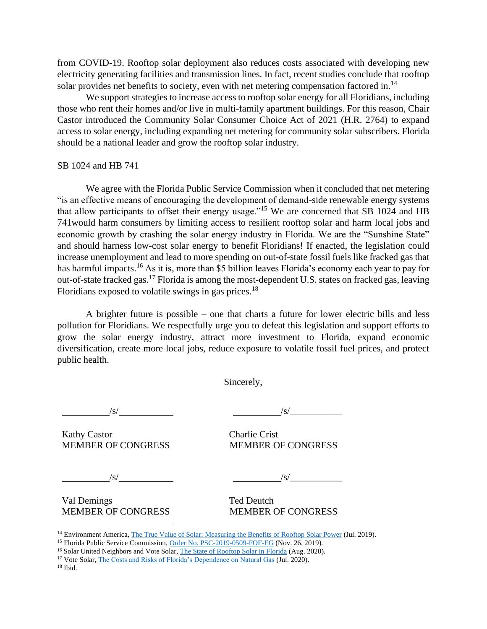from COVID-19. Rooftop solar deployment also reduces costs associated with developing new electricity generating facilities and transmission lines. In fact, recent studies conclude that rooftop solar provides net benefits to society, even with net metering compensation factored in.<sup>14</sup>

We support strategies to increase access to rooftop solar energy for all Floridians, including those who rent their homes and/or live in multi-family apartment buildings. For this reason, Chair Castor introduced the Community Solar Consumer Choice Act of 2021 (H.R. 2764) to expand access to solar energy, including expanding net metering for community solar subscribers. Florida should be a national leader and grow the rooftop solar industry.

## SB 1024 and HB 741

We agree with the Florida Public Service Commission when it concluded that net metering "is an effective means of encouraging the development of demand-side renewable energy systems that allow participants to offset their energy usage."<sup>15</sup> We are concerned that SB 1024 and HB 741would harm consumers by limiting access to resilient rooftop solar and harm local jobs and economic growth by crashing the solar energy industry in Florida. We are the "Sunshine State" and should harness low-cost solar energy to benefit Floridians! If enacted, the legislation could increase unemployment and lead to more spending on out-of-state fossil fuels like fracked gas that has harmful impacts.<sup>16</sup> As it is, more than \$5 billion leaves Florida's economy each year to pay for out-of-state fracked gas.<sup>17</sup> Florida is among the most-dependent U.S. states on fracked gas, leaving Floridians exposed to volatile swings in gas prices.<sup>18</sup>

A brighter future is possible – one that charts a future for lower electric bills and less pollution for Floridians. We respectfully urge you to defeat this legislation and support efforts to grow the solar energy industry, attract more investment to Florida, expand economic diversification, create more local jobs, reduce exposure to volatile fossil fuel prices, and protect public health.

Sincerely,

/s/ /s/\_\_\_\_\_\_\_\_\_\_\_

Kathy Castor Charlie Crist MEMBER OF CONGRESS MEMBER OF CONGRESS

/s/ /s/\_\_\_\_\_\_\_\_\_\_\_

Val Demings Ted Deutch MEMBER OF CONGRESS MEMBER OF CONGRESS

<sup>&</sup>lt;sup>14</sup> Environment America, [The True Value of Solar: Measuring the Benefits of Rooftop Solar Power](https://environmentamerica.org/feature/ame/true-value-solar#:~:text=Rooftop%20solar%20power%20generally%20adds,and%20reduce%20environmental%20compliance%20costs.) (Jul. 2019).

<sup>&</sup>lt;sup>15</sup> Florida Public Service Commission, [Order No. PSC-2019-0509-FOF-EG](http://www.floridapsc.com/library/filings/2019/11134-2019/11134-2019.pdf) (Nov. 26, 2019).

<sup>&</sup>lt;sup>16</sup> Solar United Neighbors and Vote Solar[, The State of Rooftop Solar in Florida](https://www.solarunitedneighbors.org/wp-content/uploads/2020/11/The_State_of_Rooftop_Solar_in_Florida.pdf) (Aug. 2020).

<sup>&</sup>lt;sup>17</sup> Vote Solar[, The Costs and Risks of Florida's Dependence on Natural Gas](https://votesolar.org/wp-content/uploads/2020/12/The_Costs_and_Risks_of_Floridas_Dependence_on_Natural_Gas_-_FINAL.pdf) (Jul. 2020).

<sup>18</sup> Ibid.